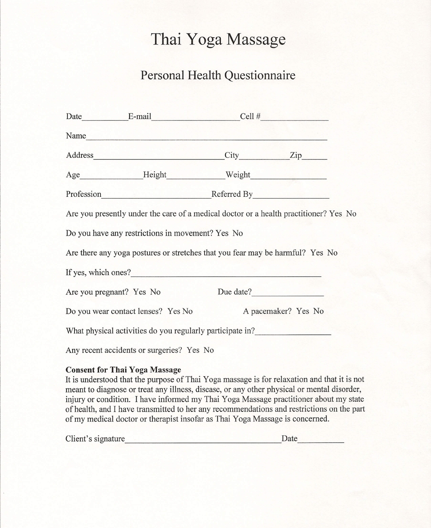## **Thai Yoga Massage**

## **Personal Health Questionnaire**

| Date $E$ -mail $Cell \#$                                                      |                                                                                       |
|-------------------------------------------------------------------------------|---------------------------------------------------------------------------------------|
| Name                                                                          |                                                                                       |
| Address City Zip                                                              |                                                                                       |
| Age Height Weight Neight                                                      |                                                                                       |
| Profession Referred By                                                        |                                                                                       |
|                                                                               | Are you presently under the care of a medical doctor or a health practitioner? Yes No |
| Do you have any restrictions in movement? Yes No                              |                                                                                       |
| Are there any yoga postures or stretches that you fear may be harmful? Yes No |                                                                                       |
|                                                                               |                                                                                       |
| Are you pregnant? Yes No Due date?                                            |                                                                                       |
| Do you wear contact lenses? Yes No A pacemaker? Yes No                        |                                                                                       |
| What physical activities do you regularly participate in?                     |                                                                                       |
| Any recent accidents or surgeries? Yes No                                     |                                                                                       |

## **Consent for Thai** Yoga Massage

It is understood that the purpose of Thai Yoga massage is for relaxation and that it is not meant to diagnose or treat any illness, disease, or any other physical or mental disorder, injury or condition. I have informed my Thai Yoga Massage practitioner about my state of health, and I have transmitted to her any recommendations and restrictions on the part of my medical doctor or therapist insofar as Thai Yoga Massage is concerned.

| Client's signature | Date |
|--------------------|------|
|                    |      |